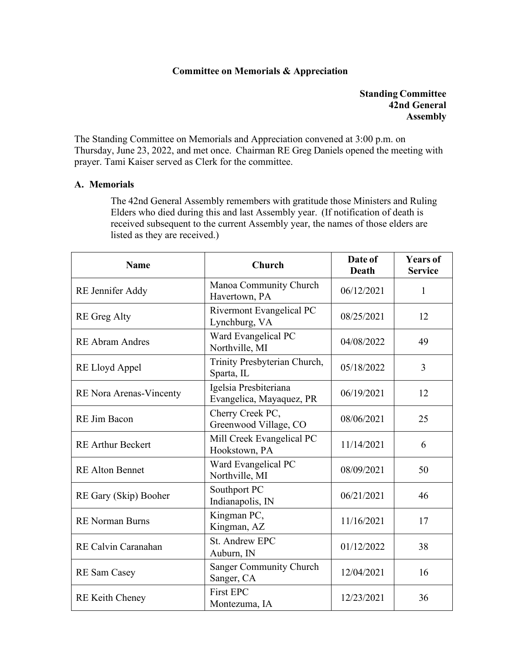## **Committee on Memorials & Appreciation**

**Standing Committee 42nd General Assembly**

The Standing Committee on Memorials and Appreciation convened at 3:00 p.m. on Thursday, June 23, 2022, and met once. Chairman RE Greg Daniels opened the meeting with prayer. Tami Kaiser served as Clerk for the committee.

## **A. Memorials**

The 42nd General Assembly remembers with gratitude those Ministers and Ruling Elders who died during this and last Assembly year. (If notification of death is received subsequent to the current Assembly year, the names of those elders are listed as they are received.)

| <b>Name</b>                    | <b>Church</b>                                     | Date of<br><b>Death</b> | <b>Years of</b><br><b>Service</b> |
|--------------------------------|---------------------------------------------------|-------------------------|-----------------------------------|
| RE Jennifer Addy               | Manoa Community Church<br>Havertown, PA           | 06/12/2021              | $\mathbf{1}$                      |
| <b>RE</b> Greg Alty            | Rivermont Evangelical PC<br>Lynchburg, VA         | 08/25/2021              | 12                                |
| <b>RE Abram Andres</b>         | Ward Evangelical PC<br>Northville, MI             | 04/08/2022              | 49                                |
| RE Lloyd Appel                 | Trinity Presbyterian Church,<br>Sparta, IL        | 05/18/2022              | 3                                 |
| <b>RE</b> Nora Arenas-Vincenty | Igelsia Presbiteriana<br>Evangelica, Mayaquez, PR | 06/19/2021              | 12                                |
| RE Jim Bacon                   | Cherry Creek PC,<br>Greenwood Village, CO         | 08/06/2021              | 25                                |
| <b>RE Arthur Beckert</b>       | Mill Creek Evangelical PC<br>Hookstown, PA        | 11/14/2021              | 6                                 |
| <b>RE Alton Bennet</b>         | Ward Evangelical PC<br>Northville, MI             | 08/09/2021              | 50                                |
| RE Gary (Skip) Booher          | Southport PC<br>Indianapolis, IN                  | 06/21/2021              | 46                                |
| <b>RE</b> Norman Burns         | Kingman PC,<br>Kingman, AZ                        | 11/16/2021              | 17                                |
| RE Calvin Caranahan            | <b>St. Andrew EPC</b><br>Auburn, IN               | 01/12/2022              | 38                                |
| <b>RE</b> Sam Casey            | <b>Sanger Community Church</b><br>Sanger, CA      | 12/04/2021              | 16                                |
| <b>RE Keith Cheney</b>         | <b>First EPC</b><br>Montezuma, IA                 | 12/23/2021              | 36                                |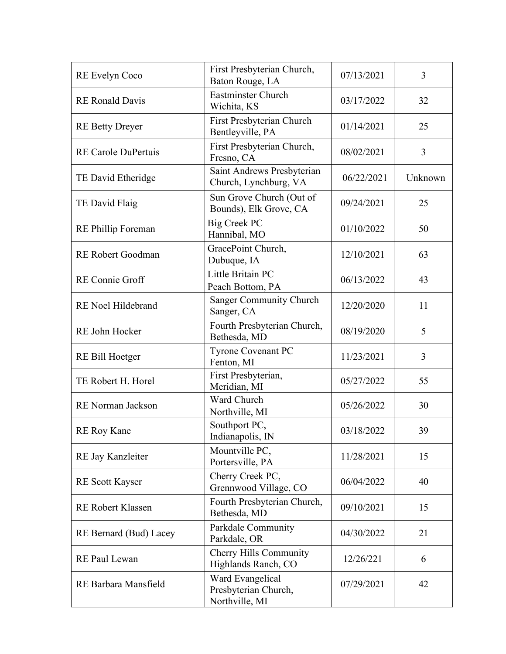| RE Evelyn Coco             | First Presbyterian Church,<br>Baton Rouge, LA              | 07/13/2021 | 3       |
|----------------------------|------------------------------------------------------------|------------|---------|
| <b>RE</b> Ronald Davis     | <b>Eastminster Church</b><br>Wichita, KS                   | 03/17/2022 | 32      |
| <b>RE Betty Dreyer</b>     | First Presbyterian Church<br>Bentleyville, PA              | 01/14/2021 | 25      |
| <b>RE Carole DuPertuis</b> | First Presbyterian Church,<br>Fresno, CA                   | 08/02/2021 | 3       |
| TE David Etheridge         | Saint Andrews Presbyterian<br>Church, Lynchburg, VA        | 06/22/2021 | Unknown |
| TE David Flaig             | Sun Grove Church (Out of<br>Bounds), Elk Grove, CA         | 09/24/2021 | 25      |
| <b>RE</b> Phillip Foreman  | <b>Big Creek PC</b><br>Hannibal, MO                        | 01/10/2022 | 50      |
| <b>RE Robert Goodman</b>   | GracePoint Church,<br>Dubuque, IA                          | 12/10/2021 | 63      |
| <b>RE</b> Connie Groff     | Little Britain PC<br>Peach Bottom, PA                      | 06/13/2022 | 43      |
| RE Noel Hildebrand         | Sanger Community Church<br>Sanger, CA                      | 12/20/2020 | 11      |
| RE John Hocker             | Fourth Presbyterian Church,<br>Bethesda, MD                | 08/19/2020 | 5       |
| RE Bill Hoetger            | <b>Tyrone Covenant PC</b><br>Fenton, MI                    | 11/23/2021 | 3       |
| TE Robert H. Horel         | First Presbyterian,<br>Meridian, MI                        | 05/27/2022 | 55      |
| RE Norman Jackson          | Ward Church<br>Northville, MI                              | 05/26/2022 | 30      |
| <b>RE</b> Roy Kane         | Southport PC,<br>Indianapolis, IN                          | 03/18/2022 | 39      |
| RE Jay Kanzleiter          | Mountville PC,<br>Portersville, PA                         | 11/28/2021 | 15      |
| <b>RE</b> Scott Kayser     | Cherry Creek PC,<br>Grennwood Village, CO                  | 06/04/2022 | 40      |
| <b>RE Robert Klassen</b>   | Fourth Presbyterian Church,<br>Bethesda, MD                | 09/10/2021 | 15      |
| RE Bernard (Bud) Lacey     | Parkdale Community<br>Parkdale, OR                         | 04/30/2022 | 21      |
| RE Paul Lewan              | Cherry Hills Community<br>Highlands Ranch, CO              | 12/26/221  | 6       |
| RE Barbara Mansfield       | Ward Evangelical<br>Presbyterian Church,<br>Northville, MI | 07/29/2021 | 42      |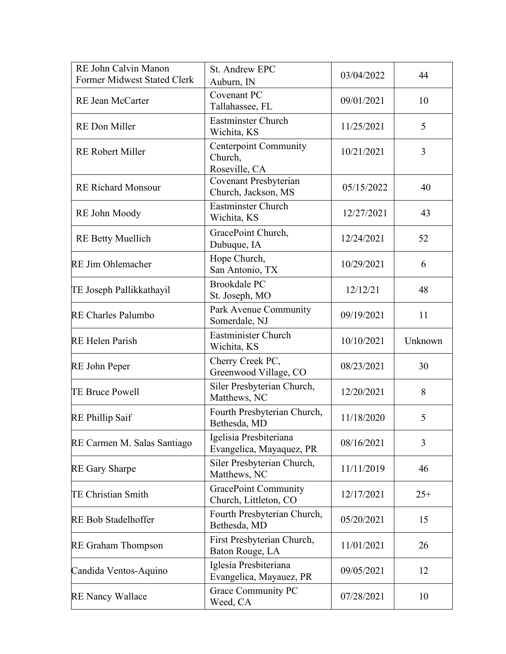| RE John Calvin Manon<br>Former Midwest Stated Clerk | St. Andrew EPC<br>Auburn, IN                             | 03/04/2022 | 44      |
|-----------------------------------------------------|----------------------------------------------------------|------------|---------|
| <b>RE Jean McCarter</b>                             | <b>Covenant PC</b><br>Tallahassee, FL                    | 09/01/2021 | 10      |
| RE Don Miller                                       | <b>Eastminster Church</b><br>Wichita, KS                 | 11/25/2021 | 5       |
| <b>RE Robert Miller</b>                             | <b>Centerpoint Community</b><br>Church,<br>Roseville, CA | 10/21/2021 | 3       |
| <b>RE Richard Monsour</b>                           | Covenant Presbyterian<br>Church, Jackson, MS             | 05/15/2022 | 40      |
| RE John Moody                                       | <b>Eastminster Church</b><br>Wichita, KS                 | 12/27/2021 | 43      |
| <b>RE Betty Muellich</b>                            | GracePoint Church,<br>Dubuque, IA                        | 12/24/2021 | 52      |
| <b>RE Jim Ohlemacher</b>                            | Hope Church,<br>San Antonio, TX                          | 10/29/2021 | 6       |
| TE Joseph Pallikkathayil                            | <b>Brookdale PC</b><br>St. Joseph, MO                    | 12/12/21   | 48      |
| <b>RE Charles Palumbo</b>                           | Park Avenue Community<br>Somerdale, NJ                   | 09/19/2021 | 11      |
| <b>RE</b> Helen Parish                              | <b>Eastminister Church</b><br>Wichita, KS                | 10/10/2021 | Unknown |
| RE John Peper                                       | Cherry Creek PC,<br>Greenwood Village, CO                | 08/23/2021 | 30      |
| <b>TE Bruce Powell</b>                              | Siler Presbyterian Church,<br>Matthews, NC               | 12/20/2021 | 8       |
| RE Phillip Saif                                     | Fourth Presbyterian Church,<br>Bethesda, MD              | 11/18/2020 | 5       |
| RE Carmen M. Salas Santiago                         | Igelisia Presbiteriana<br>Evangelica, Mayaquez, PR       | 08/16/2021 | 3       |
| <b>RE Gary Sharpe</b>                               | Siler Presbyterian Church,<br>Matthews, NC               | 11/11/2019 | 46      |
| <b>TE Christian Smith</b>                           | <b>GracePoint Community</b><br>Church, Littleton, CO     | 12/17/2021 | $25+$   |
| <b>RE Bob Stadelhoffer</b>                          | Fourth Presbyterian Church,<br>Bethesda, MD              | 05/20/2021 | 15      |
| <b>RE</b> Graham Thompson                           | First Presbyterian Church,<br>Baton Rouge, LA            | 11/01/2021 | 26      |
| Candida Ventos-Aquino                               | Iglesia Presbiteriana<br>Evangelica, Mayauez, PR         | 09/05/2021 | 12      |
| <b>RE Nancy Wallace</b>                             | Grace Community PC<br>Weed, CA                           | 07/28/2021 | 10      |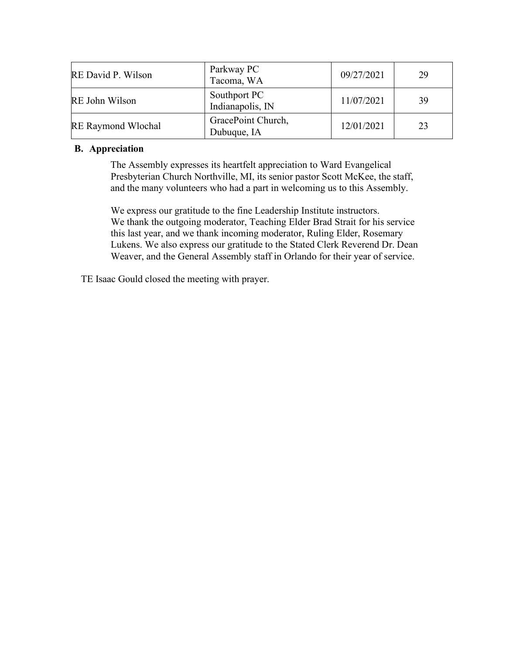| RE David P. Wilson        | Parkway PC<br>Tacoma, WA          | 09/27/2021 | 29 |
|---------------------------|-----------------------------------|------------|----|
| RE John Wilson            | Southport PC<br>Indianapolis, IN  | 11/07/2021 | 39 |
| <b>RE Raymond Wlochal</b> | GracePoint Church,<br>Dubuque, IA | 12/01/2021 | 23 |

## **B. Appreciation**

The Assembly expresses its heartfelt appreciation to Ward Evangelical Presbyterian Church Northville, MI, its senior pastor Scott McKee, the staff, and the many volunteers who had a part in welcoming us to this Assembly.

We express our gratitude to the fine Leadership Institute instructors. We thank the outgoing moderator, Teaching Elder Brad Strait for his service this last year, and we thank incoming moderator, Ruling Elder, Rosemary Lukens. We also express our gratitude to the Stated Clerk Reverend Dr. Dean Weaver, and the General Assembly staff in Orlando for their year of service.

TE Isaac Gould closed the meeting with prayer.